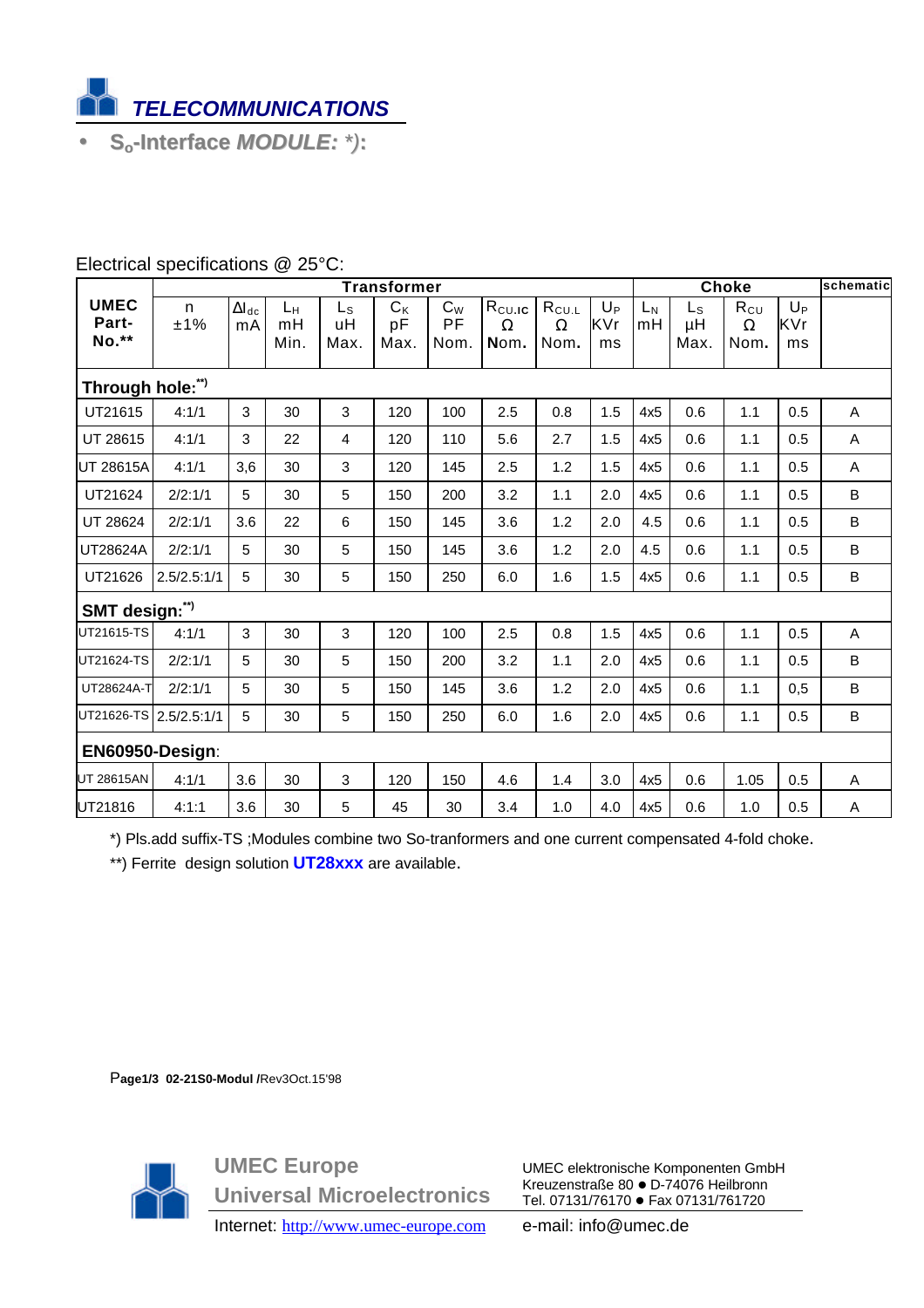

• **So-Interface** *MODULE: \*)***:**

|                               | <b>Transformer</b> |                              |                  |                           |                       |                     |                                    |                                |                      | Choke       |                       |                              |                      | schematic |
|-------------------------------|--------------------|------------------------------|------------------|---------------------------|-----------------------|---------------------|------------------------------------|--------------------------------|----------------------|-------------|-----------------------|------------------------------|----------------------|-----------|
| <b>UMEC</b><br>Part-<br>No.** | n<br>±1%           | $\Delta I_{\text{dc}}$<br>mA | Lн<br>mH<br>Min. | $L_{\rm S}$<br>uH<br>Max. | $C_{K}$<br>pF<br>Max. | $C_W$<br>PF<br>Nom. | $R_{\rm CULG}$<br>$\Omega$<br>Nom. | $R_{CU.L}$<br>$\Omega$<br>Nom. | $U_{P}$<br>KVr<br>ms | $L_N$<br>mH | $L_{S}$<br>μH<br>Max. | $R_{CU}$<br>$\Omega$<br>Nom. | $U_{P}$<br>KVr<br>ms |           |
| Through hole:")               |                    |                              |                  |                           |                       |                     |                                    |                                |                      |             |                       |                              |                      |           |
| UT21615                       | 4:1/1              | 3                            | 30               | 3                         | 120                   | 100                 | 2.5                                | 0.8                            | 1.5                  | 4x5         | 0.6                   | 1.1                          | 0.5                  | A         |
| UT 28615                      | 4:1/1              | 3                            | 22               | $\overline{4}$            | 120                   | 110                 | 5.6                                | 2.7                            | 1.5                  | 4x5         | 0.6                   | 1.1                          | 0.5                  | A         |
| <b>UT 28615A</b>              | 4:1/1              | 3,6                          | 30               | $\mathbf{3}$              | 120                   | 145                 | 2.5                                | 1.2                            | 1.5                  | 4x5         | 0.6                   | 1.1                          | 0.5                  | A         |
| UT21624                       | 2/2:1/1            | 5                            | 30               | 5                         | 150                   | 200                 | 3.2                                | 1.1                            | 2.0                  | 4x5         | 0.6                   | 1.1                          | 0.5                  | B         |
| UT 28624                      | 2/2:1/1            | 3.6                          | 22               | 6                         | 150                   | 145                 | 3.6                                | 1.2                            | 2.0                  | 4.5         | 0.6                   | 1.1                          | 0.5                  | B         |
| UT28624A                      | 2/2:1/1            | 5                            | 30               | 5                         | 150                   | 145                 | 3.6                                | 1.2                            | 2.0                  | 4.5         | 0.6                   | 1.1                          | 0.5                  | B         |
| UT21626                       | 2.5/2.5:1/1        | 5                            | 30               | 5                         | 150                   | 250                 | 6.0                                | 1.6                            | 1.5                  | 4x5         | 0.6                   | 1.1                          | 0.5                  | B         |
| SMT design:")                 |                    |                              |                  |                           |                       |                     |                                    |                                |                      |             |                       |                              |                      |           |
| UT21615-TS                    | 4:1/1              | 3                            | 30               | 3                         | 120                   | 100                 | 2.5                                | 0.8                            | 1.5                  | 4x5         | 0.6                   | 1.1                          | 0.5                  | A         |
| UT21624-TS                    | 2/2:1/1            | 5                            | 30               | 5                         | 150                   | 200                 | 3.2                                | 1.1                            | 2.0                  | 4x5         | 0.6                   | 1.1                          | 0.5                  | B         |
| UT28624A-T                    | 2/2:1/1            | 5                            | 30               | 5                         | 150                   | 145                 | 3.6                                | 1.2                            | 2.0                  | 4x5         | 0.6                   | 1.1                          | 0,5                  | B         |
| UT21626-TS 2.5/2.5:1/1        |                    | 5                            | 30               | 5                         | 150                   | 250                 | 6.0                                | 1.6                            | 2.0                  | 4x5         | 0.6                   | 1.1                          | 0.5                  | B         |
| EN60950-Design:               |                    |                              |                  |                           |                       |                     |                                    |                                |                      |             |                       |                              |                      |           |
| <b>UT 28615AN</b>             | 4:1/1              | 3.6                          | 30               | $\mathbf{3}$              | 120                   | 150                 | 4.6                                | 1.4                            | 3.0                  | 4x5         | 0.6                   | 1.05                         | 0.5                  | A         |
| UT21816                       | 4:1:1              | 3.6                          | 30               | 5                         | 45                    | 30                  | 3.4                                | 1.0                            | 4.0                  | 4x5         | 0.6                   | 1.0                          | 0.5                  | A         |

## Electrical specifications @ 25°C:

\*) Pls.add suffix-TS ;Modules combine two So-tranformers and one current compensated 4-fold choke.

\*\*) Ferrite design solution **UT28xxx** are available.

P**age1/3 02-21S0-Modul /**Rev3Oct.15'98



**UMEC Europe Universal Microelectronics**

UMEC elektronische Komponenten GmbH Kreuzenstraße 80 ● D-74076 Heilbronn Tel. 07131/76170 · Fax 07131/761720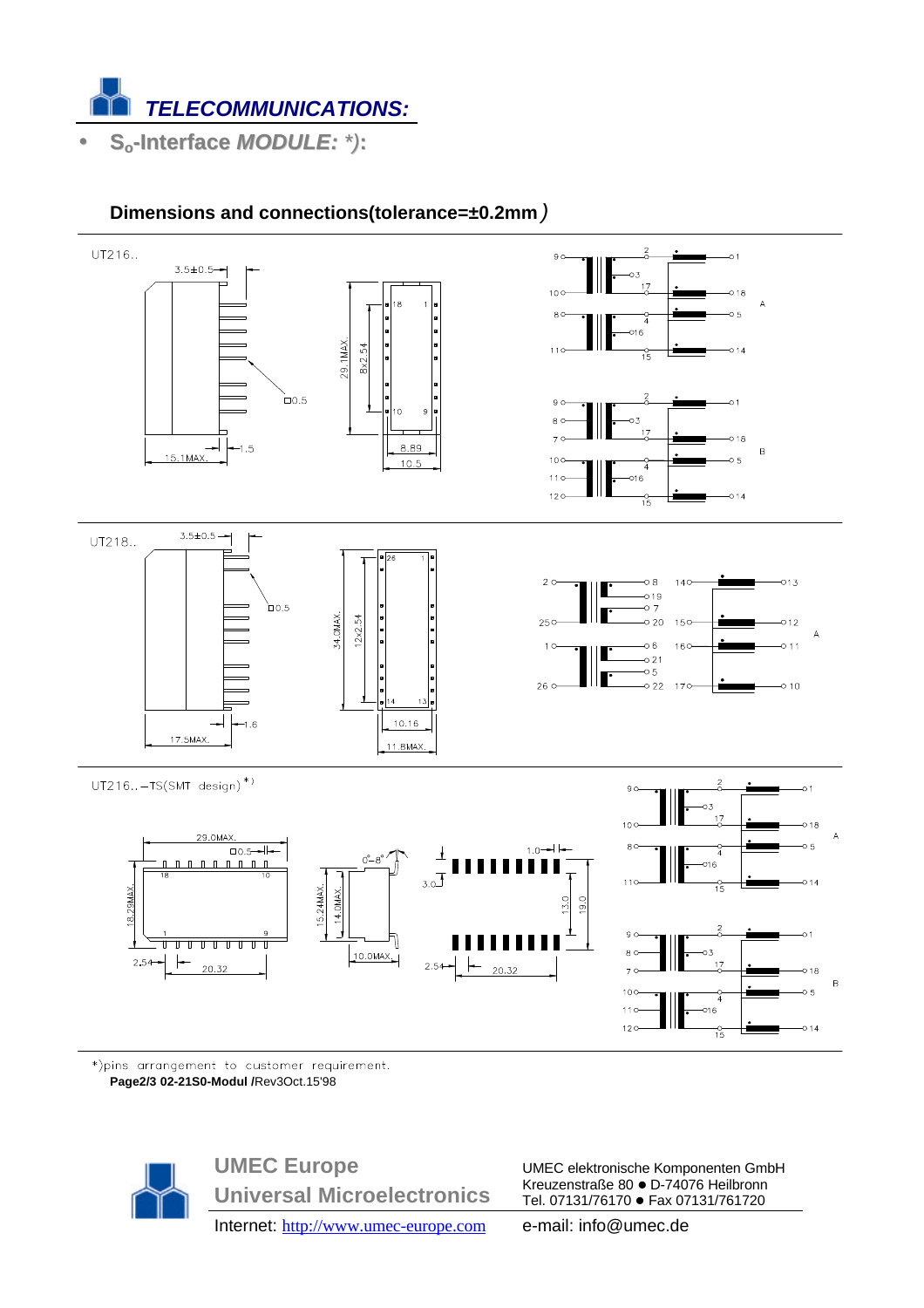

# **Dimensions and connections(tolerance=±0.2mm***)*



\*)pins arrangement to customer requirement. **Page2/3 02-21S0-Modul /**Rev3Oct.15'98



**UMEC Europe Universal Microelectronics** Internet: http://www.umec-europe.com e-mail: info@umec.de

UMEC elektronische Komponenten GmbH Kreuzenstraße 80 ● D-74076 Heilbronn Tel. 07131/76170 · Fax 07131/761720